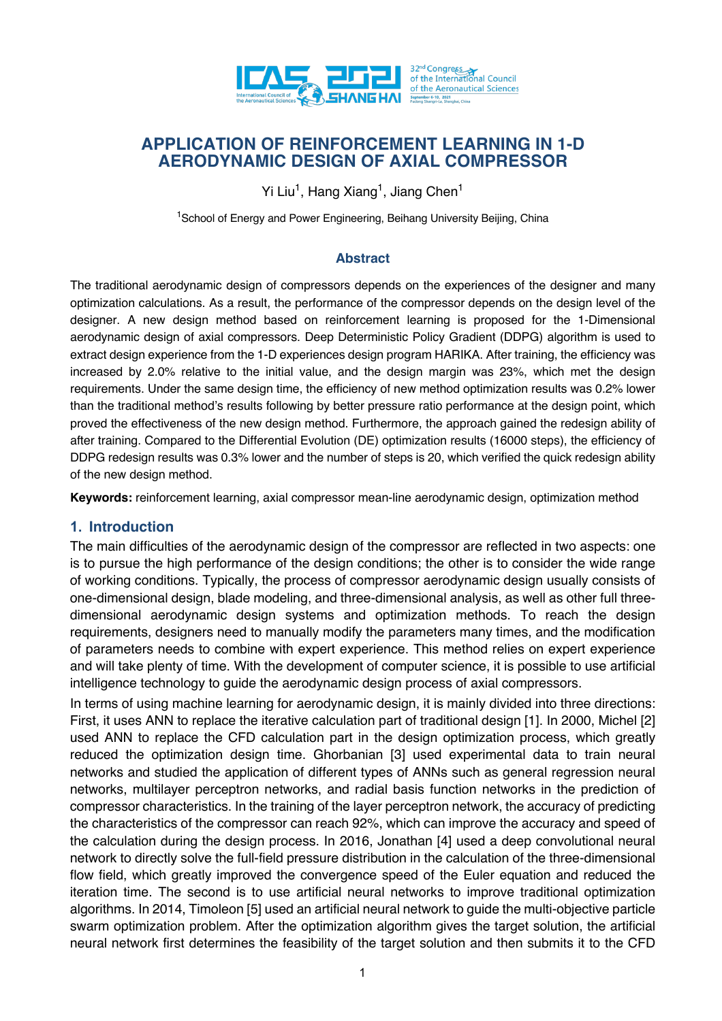

# **APPLICATION OF REINFORCEMENT LEARNING IN 1-D AERODYNAMIC DESIGN OF AXIAL COMPRESSOR**

Yi Liu<sup>1</sup>, Hang Xiang<sup>1</sup>, Jiang Chen<sup>1</sup>

<sup>1</sup>School of Energy and Power Engineering, Beihang University Beijing, China

#### **Abstract**

The traditional aerodynamic design of compressors depends on the experiences of the designer and many optimization calculations. As a result, the performance of the compressor depends on the design level of the designer. A new design method based on reinforcement learning is proposed for the 1-Dimensional aerodynamic design of axial compressors. Deep Deterministic Policy Gradient (DDPG) algorithm is used to extract design experience from the 1-D experiences design program HARIKA. After training, the efficiency was increased by 2.0% relative to the initial value, and the design margin was 23%, which met the design requirements. Under the same design time, the efficiency of new method optimization results was 0.2% lower than the traditional method's results following by better pressure ratio performance at the design point, which proved the effectiveness of the new design method. Furthermore, the approach gained the redesign ability of after training. Compared to the Differential Evolution (DE) optimization results (16000 steps), the efficiency of DDPG redesign results was 0.3% lower and the number of steps is 20, which verified the quick redesign ability of the new design method.

**Keywords:** reinforcement learning, axial compressor mean-line aerodynamic design, optimization method

#### **1. Introduction**

The main difficulties of the aerodynamic design of the compressor are reflected in two aspects: one is to pursue the high performance of the design conditions; the other is to consider the wide range of working conditions. Typically, the process of compressor aerodynamic design usually consists of one-dimensional design, blade modeling, and three-dimensional analysis, as well as other full threedimensional aerodynamic design systems and optimization methods. To reach the design requirements, designers need to manually modify the parameters many times, and the modification of parameters needs to combine with expert experience. This method relies on expert experience and will take plenty of time. With the development of computer science, it is possible to use artificial intelligence technology to guide the aerodynamic design process of axial compressors.

In terms of using machine learning for aerodynamic design, it is mainly divided into three directions: First, it uses ANN to replace the iterative calculation part of traditional design [1]. In 2000, Michel [2] used ANN to replace the CFD calculation part in the design optimization process, which greatly reduced the optimization design time. Ghorbanian [3] used experimental data to train neural networks and studied the application of different types of ANNs such as general regression neural networks, multilayer perceptron networks, and radial basis function networks in the prediction of compressor characteristics. In the training of the layer perceptron network, the accuracy of predicting the characteristics of the compressor can reach 92%, which can improve the accuracy and speed of the calculation during the design process. In 2016, Jonathan [4] used a deep convolutional neural network to directly solve the full-field pressure distribution in the calculation of the three-dimensional flow field, which greatly improved the convergence speed of the Euler equation and reduced the iteration time. The second is to use artificial neural networks to improve traditional optimization algorithms. In 2014, Timoleon [5] used an artificial neural network to guide the multi-objective particle swarm optimization problem. After the optimization algorithm gives the target solution, the artificial neural network first determines the feasibility of the target solution and then submits it to the CFD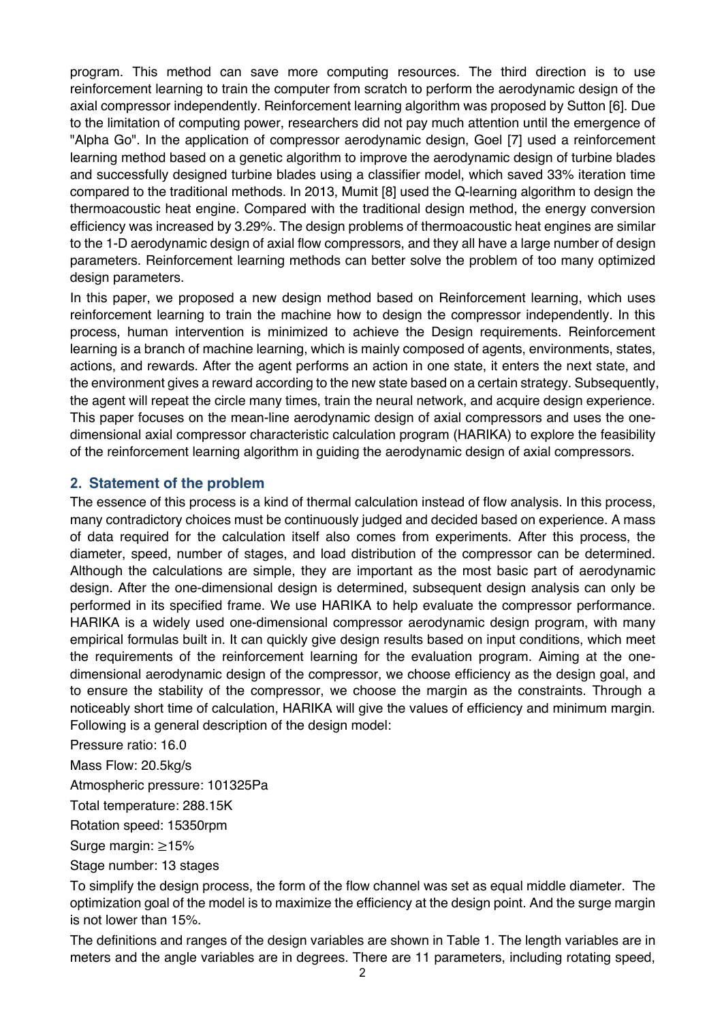program. This method can save more computing resources. The third direction is to use reinforcement learning to train the computer from scratch to perform the aerodynamic design of the axial compressor independently. Reinforcement learning algorithm was proposed by Sutton [6]. Due to the limitation of computing power, researchers did not pay much attention until the emergence of "Alpha Go". In the application of compressor aerodynamic design, Goel [7] used a reinforcement learning method based on a genetic algorithm to improve the aerodynamic design of turbine blades and successfully designed turbine blades using a classifier model, which saved 33% iteration time compared to the traditional methods. In 2013, Mumit [8] used the Q-learning algorithm to design the thermoacoustic heat engine. Compared with the traditional design method, the energy conversion efficiency was increased by 3.29%. The design problems of thermoacoustic heat engines are similar to the 1-D aerodynamic design of axial flow compressors, and they all have a large number of design parameters. Reinforcement learning methods can better solve the problem of too many optimized design parameters.

In this paper, we proposed a new design method based on Reinforcement learning, which uses reinforcement learning to train the machine how to design the compressor independently. In this process, human intervention is minimized to achieve the Design requirements. Reinforcement learning is a branch of machine learning, which is mainly composed of agents, environments, states, actions, and rewards. After the agent performs an action in one state, it enters the next state, and the environment gives a reward according to the new state based on a certain strategy. Subsequently, the agent will repeat the circle many times, train the neural network, and acquire design experience. This paper focuses on the mean-line aerodynamic design of axial compressors and uses the onedimensional axial compressor characteristic calculation program (HARIKA) to explore the feasibility of the reinforcement learning algorithm in guiding the aerodynamic design of axial compressors.

## **2. Statement of the problem**

The essence of this process is a kind of thermal calculation instead of flow analysis. In this process, many contradictory choices must be continuously judged and decided based on experience. A mass of data required for the calculation itself also comes from experiments. After this process, the diameter, speed, number of stages, and load distribution of the compressor can be determined. Although the calculations are simple, they are important as the most basic part of aerodynamic design. After the one-dimensional design is determined, subsequent design analysis can only be performed in its specified frame. We use HARIKA to help evaluate the compressor performance. HARIKA is a widely used one-dimensional compressor aerodynamic design program, with many empirical formulas built in. It can quickly give design results based on input conditions, which meet the requirements of the reinforcement learning for the evaluation program. Aiming at the onedimensional aerodynamic design of the compressor, we choose efficiency as the design goal, and to ensure the stability of the compressor, we choose the margin as the constraints. Through a noticeably short time of calculation, HARIKA will give the values of efficiency and minimum margin. Following is a general description of the design model:

Pressure ratio: 16.0

Mass Flow: 20.5kg/s

Atmospheric pressure: 101325Pa

Total temperature: 288.15K

Rotation speed: 15350rpm

Surge margin: ≥15%

Stage number: 13 stages

To simplify the design process, the form of the flow channel was set as equal middle diameter. The optimization goal of the model is to maximize the efficiency at the design point. And the surge margin is not lower than 15%.

The definitions and ranges of the design variables are shown in Table 1. The length variables are in meters and the angle variables are in degrees. There are 11 parameters, including rotating speed,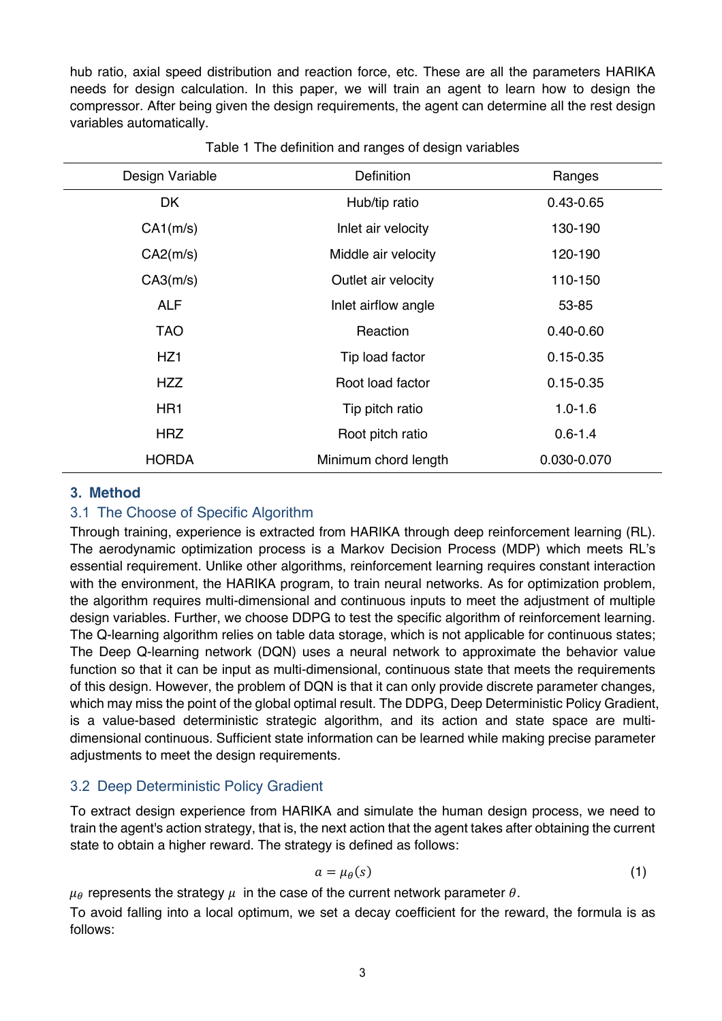hub ratio, axial speed distribution and reaction force, etc. These are all the parameters HARIKA needs for design calculation. In this paper, we will train an agent to learn how to design the compressor. After being given the design requirements, the agent can determine all the rest design variables automatically.

| Design Variable | <b>Definition</b>    | Ranges        |
|-----------------|----------------------|---------------|
| DK              | Hub/tip ratio        | $0.43 - 0.65$ |
| CA1(m/s)        | Inlet air velocity   | 130-190       |
| CA2(m/s)        | Middle air velocity  | 120-190       |
| CA3(m/s)        | Outlet air velocity  | 110-150       |
| <b>ALF</b>      | Inlet airflow angle  | 53-85         |
| <b>TAO</b>      | Reaction             | $0.40 - 0.60$ |
| HZ <sub>1</sub> | Tip load factor      | $0.15 - 0.35$ |
| <b>HZZ</b>      | Root load factor     | $0.15 - 0.35$ |
| HR <sub>1</sub> | Tip pitch ratio      | $1.0 - 1.6$   |
| <b>HRZ</b>      | Root pitch ratio     | $0.6 - 1.4$   |
| <b>HORDA</b>    | Minimum chord length | 0.030-0.070   |

Table 1 The definition and ranges of design variables

### **3. Method**

### 3.1 The Choose of Specific Algorithm

Through training, experience is extracted from HARIKA through deep reinforcement learning (RL). The aerodynamic optimization process is a Markov Decision Process (MDP) which meets RL's essential requirement. Unlike other algorithms, reinforcement learning requires constant interaction with the environment, the HARIKA program, to train neural networks. As for optimization problem, the algorithm requires multi-dimensional and continuous inputs to meet the adjustment of multiple design variables. Further, we choose DDPG to test the specific algorithm of reinforcement learning. The Q-learning algorithm relies on table data storage, which is not applicable for continuous states; The Deep Q-learning network (DQN) uses a neural network to approximate the behavior value function so that it can be input as multi-dimensional, continuous state that meets the requirements of this design. However, the problem of DQN is that it can only provide discrete parameter changes, which may miss the point of the global optimal result. The DDPG, Deep Deterministic Policy Gradient, is a value-based deterministic strategic algorithm, and its action and state space are multidimensional continuous. Sufficient state information can be learned while making precise parameter adjustments to meet the design requirements.

## 3.2 Deep Deterministic Policy Gradient

To extract design experience from HARIKA and simulate the human design process, we need to train the agent's action strategy, that is, the next action that the agent takes after obtaining the current state to obtain a higher reward. The strategy is defined as follows:

$$
a = \mu_{\theta}(s) \tag{1}
$$

 $\mu_{\theta}$  represents the strategy  $\mu$  in the case of the current network parameter  $\theta$ .

To avoid falling into a local optimum, we set a decay coefficient for the reward, the formula is as follows: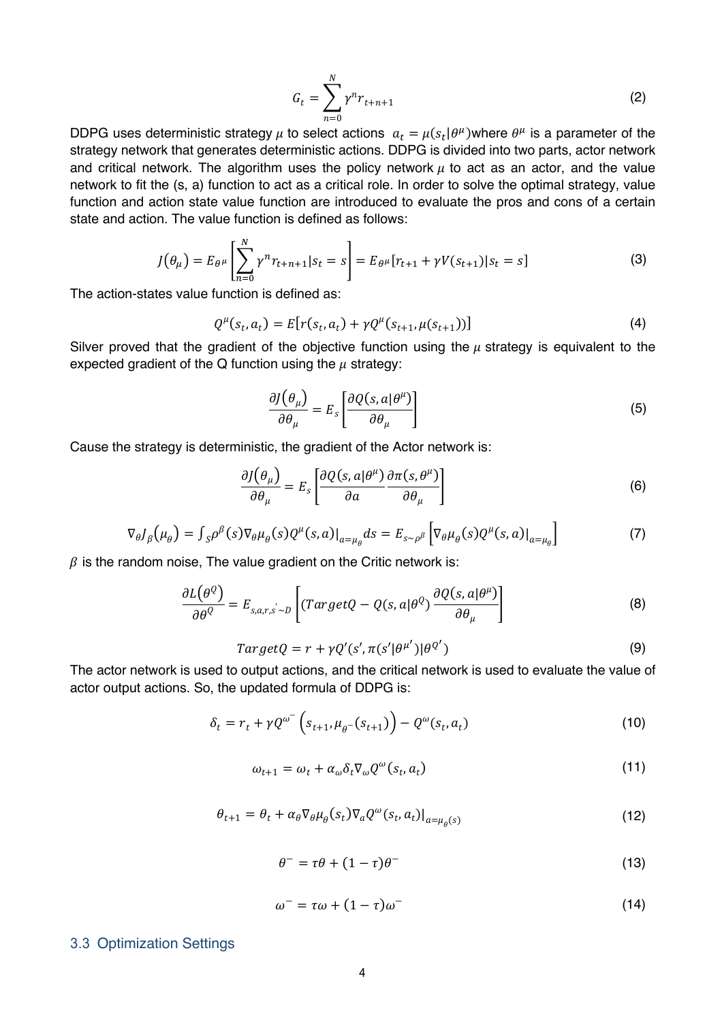$$
G_t = \sum_{n=0}^{N} \gamma^n r_{t+n+1}
$$
 (2)

DDPG uses deterministic strategy  $\mu$  to select actions  $a_t = \mu(s_t|\theta^{\mu})$ where  $\theta^{\mu}$  is a parameter of the strategy network that generates deterministic actions. DDPG is divided into two parts, actor network and critical network. The algorithm uses the policy network  $\mu$  to act as an actor, and the value network to fit the (s, a) function to act as a critical role. In order to solve the optimal strategy, value function and action state value function are introduced to evaluate the pros and cons of a certain state and action. The value function is defined as follows:

$$
J(\theta_{\mu}) = E_{\theta^{\mu}} \left[ \sum_{n=0}^{N} \gamma^{n} r_{t+n+1} | s_{t} = s \right] = E_{\theta^{\mu}} [r_{t+1} + \gamma V(s_{t+1}) | s_{t} = s]
$$
(3)

The action-states value function is defined as:

$$
Q^{\mu}(s_t, a_t) = E[r(s_t, a_t) + \gamma Q^{\mu}(s_{t+1}, \mu(s_{t+1}))]
$$
\n(4)

Silver proved that the gradient of the objective function using the  $\mu$  strategy is equivalent to the expected gradient of the Q function using the  $\mu$  strategy:

$$
\frac{\partial J(\theta_{\mu})}{\partial \theta_{\mu}} = E_s \left[ \frac{\partial Q(s, a | \theta^{\mu})}{\partial \theta_{\mu}} \right]
$$
(5)

Cause the strategy is deterministic, the gradient of the Actor network is:

$$
\frac{\partial J(\theta_{\mu})}{\partial \theta_{\mu}} = E_{s} \left[ \frac{\partial Q(s, a | \theta^{\mu})}{\partial a} \frac{\partial \pi(s, \theta^{\mu})}{\partial \theta_{\mu}} \right]
$$
(6)

$$
\nabla_{\theta} J_{\beta}(\mu_{\theta}) = \int_{S} \rho^{\beta}(s) \nabla_{\theta} \mu_{\theta}(s) Q^{\mu}(s, a)|_{a = \mu_{\theta}} ds = E_{s \sim \rho^{\beta}} \left[ \nabla_{\theta} \mu_{\theta}(s) Q^{\mu}(s, a)|_{a = \mu_{\theta}} \right]
$$
(7)

 $\beta$  is the random noise, The value gradient on the Critic network is:

$$
\frac{\partial L(\theta^Q)}{\partial \theta^Q} = E_{s,a,r,s \sim D} \left[ (TargetQ - Q(s,a|\theta^Q) \frac{\partial Q(s,a|\theta^{\mu})}{\partial \theta_{\mu}} \right]
$$
(8)

$$
TargetQ = r + \gamma Q'(s', \pi(s' | \theta^{\mu'}) | \theta^{Q'})
$$
\n(9)

The actor network is used to output actions, and the critical network is used to evaluate the value of actor output actions. So, the updated formula of DDPG is:

$$
\delta_t = r_t + \gamma Q^{\omega^-} \left( s_{t+1}, \mu_{\theta^-} (s_{t+1}) \right) - Q^{\omega} (s_t, a_t)
$$
\n(10)

$$
\omega_{t+1} = \omega_t + \alpha_\omega \delta_t \nabla_\omega Q^\omega(s_t, a_t)
$$
\n(11)

$$
\theta_{t+1} = \theta_t + \alpha_\theta \nabla_\theta \mu_\theta(s_t) \nabla_a Q^\omega(s_t, a_t) \big|_{a = \mu_\theta(s)}
$$
(12)

$$
\theta^- = \tau \theta + (1 - \tau)\theta^-\tag{13}
$$

$$
\omega^- = \tau \omega + (1 - \tau) \omega^- \tag{14}
$$

#### 3.3 Optimization Settings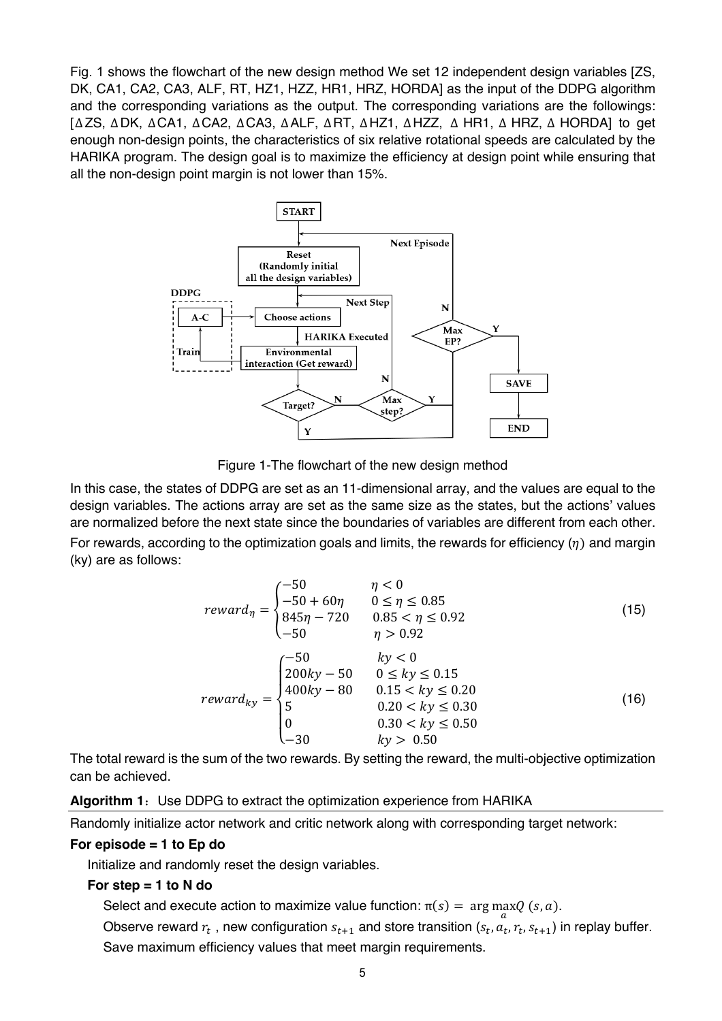Fig. 1 shows the flowchart of the new design method We set 12 independent design variables [ZS, DK, CA1, CA2, CA3, ALF, RT, HZ1, HZZ, HR1, HRZ, HORDA] as the input of the DDPG algorithm and the corresponding variations as the output. The corresponding variations are the followings: [ΔZS, ΔDK, ΔCA1, ΔCA2, ΔCA3, ΔALF, ΔRT, ΔHZ1, ΔHZZ, Δ HR1, Δ HRZ, Δ HORDA] to get enough non-design points, the characteristics of six relative rotational speeds are calculated by the HARIKA program. The design goal is to maximize the efficiency at design point while ensuring that all the non-design point margin is not lower than 15%.



Figure 1-The flowchart of the new design method

In this case, the states of DDPG are set as an 11-dimensional array, and the values are equal to the design variables. The actions array are set as the same size as the states, but the actions' values are normalized before the next state since the boundaries of variables are different from each other. For rewards, according to the optimization goals and limits, the rewards for efficiency  $(\eta)$  and margin (ky) are as follows:

$$
reward_{\eta} = \begin{cases}\n-50 & \eta < 0 \\
-50 + 60\eta & 0 \le \eta \le 0.85 \\
845\eta - 720 & 0.85 < \eta \le 0.92 \\
-50 & \eta > 0.92\n\end{cases}
$$
\n(15)\n
$$
reward_{ky} = \begin{cases}\n-50 & ky < 0 \\
200ky - 50 & 0 \le ky \le 0.15 \\
400ky - 80 & 0.15 < ky \le 0.20 \\
5 & 0.20 < ky \le 0.30 \\
0 & 0.30 < ky \le 0.50\n\end{cases}
$$
\n(16)

The total reward is the sum of the two rewards. By setting the reward, the multi-objective optimization can be achieved.

#### **Algorithm 1:** Use DDPG to extract the optimization experience from HARIKA

Randomly initialize actor network and critic network along with corresponding target network:

#### **For episode = 1 to Ep do**

Initialize and randomly reset the design variables.

#### **For step = 1 to N do**

Select and execute action to maximize value function:  $\pi(s) = \arg \max_{\alpha} Q(s, a)$ .

Observe reward  $r_t$ , new configuration  $s_{t+1}$  and store transition  $(s_t, a_t, r_t, s_{t+1})$  in replay buffer. Save maximum efficiency values that meet margin requirements.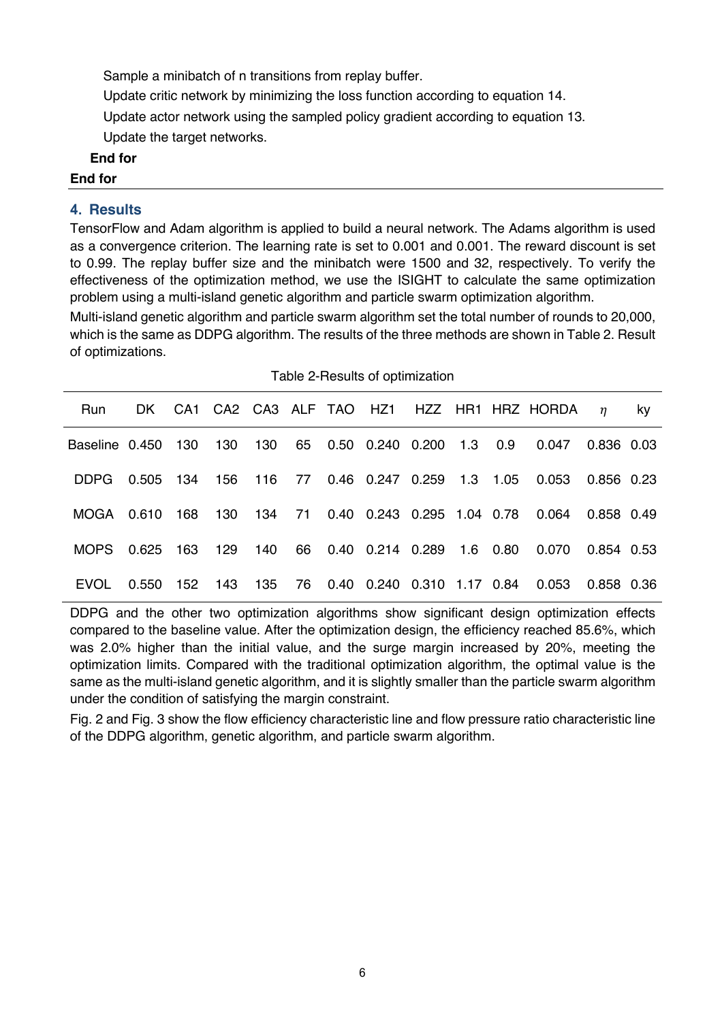Sample a minibatch of n transitions from replay buffer.

Update critic network by minimizing the loss function according to equation 14.

Update actor network using the sampled policy gradient according to equation 13.

Update the target networks.

#### **End for**

#### **End for**

## **4. Results**

TensorFlow and Adam algorithm is applied to build a neural network. The Adams algorithm is used as a convergence criterion. The learning rate is set to 0.001 and 0.001. The reward discount is set to 0.99. The replay buffer size and the minibatch were 1500 and 32, respectively. To verify the effectiveness of the optimization method, we use the ISIGHT to calculate the same optimization problem using a multi-island genetic algorithm and particle swarm optimization algorithm.

Multi-island genetic algorithm and particle swarm algorithm set the total number of rounds to 20,000, which is the same as DDPG algorithm. The results of the three methods are shown in Table 2. Result of optimizations.

| Table 2-Results of optimization |           |         |     |     |  |  |                                    |          |          |                                           |            |    |
|---------------------------------|-----------|---------|-----|-----|--|--|------------------------------------|----------|----------|-------------------------------------------|------------|----|
| <b>Run</b>                      | DK -      |         |     |     |  |  |                                    |          |          | CA1 CA2 CA3 ALF TAO HZ1 HZZ HR1 HRZ HORDA | $\eta$     | ky |
| Baseline 0.450                  |           | 130     | 130 | 130 |  |  | 65  0.50  0.240  0.200  1.3  0.9   |          |          | 0.047                                     | 0.836 0.03 |    |
| DDPG.                           | 0.505 134 |         | 156 | 116 |  |  | 77  0.46  0.247  0.259             | 1.3 1.05 |          | 0.053                                     | 0.856 0.23 |    |
| MOGA                            | 0.610     | 168     | 130 | 134 |  |  | 71  0.40  0.243  0.295  1.04  0.78 |          |          | 0.064                                     | 0.858 0.49 |    |
| MOPS.                           | 0.625     | 163     | 129 | 140 |  |  | 66  0.40  0.214  0.289             |          | 1.6 0.80 | 0.070                                     | 0.854 0.53 |    |
| EVOL                            | 0.550     | 152 143 |     | 135 |  |  | 76  0.40  0.240  0.310  1.17  0.84 |          |          | 0.053                                     | 0.858 0.36 |    |

| Table 2-Results of optimization |  |
|---------------------------------|--|
|---------------------------------|--|

DDPG and the other two optimization algorithms show significant design optimization effects compared to the baseline value. After the optimization design, the efficiency reached 85.6%, which was 2.0% higher than the initial value, and the surge margin increased by 20%, meeting the optimization limits. Compared with the traditional optimization algorithm, the optimal value is the same as the multi-island genetic algorithm, and it is slightly smaller than the particle swarm algorithm under the condition of satisfying the margin constraint.

Fig. 2 and Fig. 3 show the flow efficiency characteristic line and flow pressure ratio characteristic line of the DDPG algorithm, genetic algorithm, and particle swarm algorithm.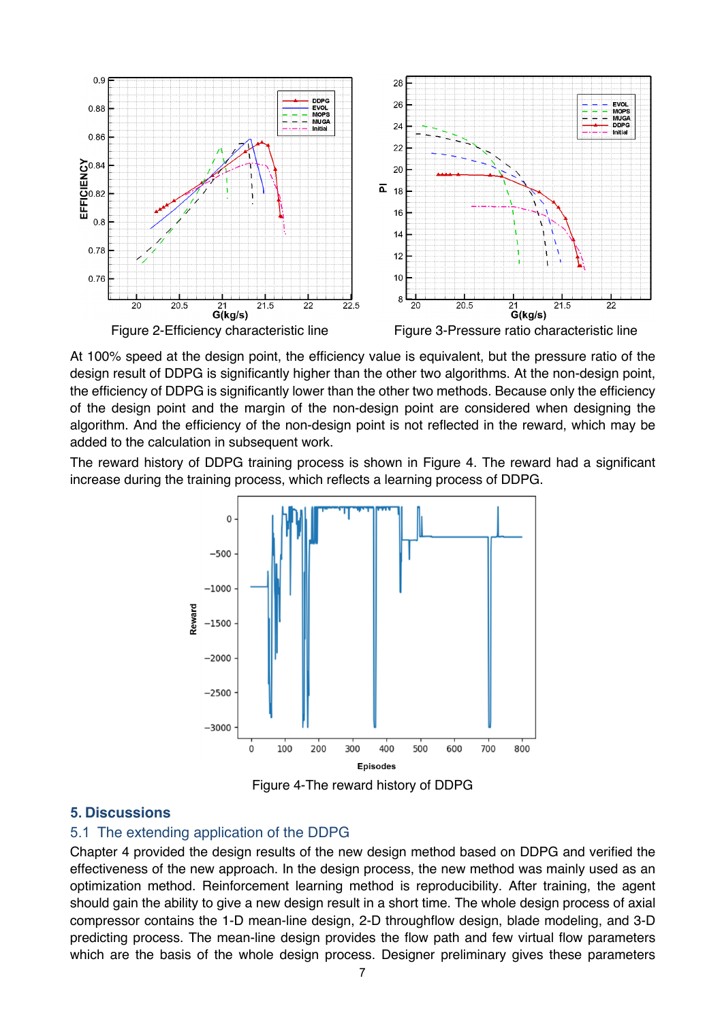

At 100% speed at the design point, the efficiency value is equivalent, but the pressure ratio of the design result of DDPG is significantly higher than the other two algorithms. At the non-design point, the efficiency of DDPG is significantly lower than the other two methods. Because only the efficiency of the design point and the margin of the non-design point are considered when designing the algorithm. And the efficiency of the non-design point is not reflected in the reward, which may be added to the calculation in subsequent work.

The reward history of DDPG training process is shown in Figure 4. The reward had a significant increase during the training process, which reflects a learning process of DDPG.



Figure 4-The reward history of DDPG

#### **5. Discussions**

#### 5.1 The extending application of the DDPG

Chapter 4 provided the design results of the new design method based on DDPG and verified the effectiveness of the new approach. In the design process, the new method was mainly used as an optimization method. Reinforcement learning method is reproducibility. After training, the agent should gain the ability to give a new design result in a short time. The whole design process of axial compressor contains the 1-D mean-line design, 2-D throughflow design, blade modeling, and 3-D predicting process. The mean-line design provides the flow path and few virtual flow parameters which are the basis of the whole design process. Designer preliminary gives these parameters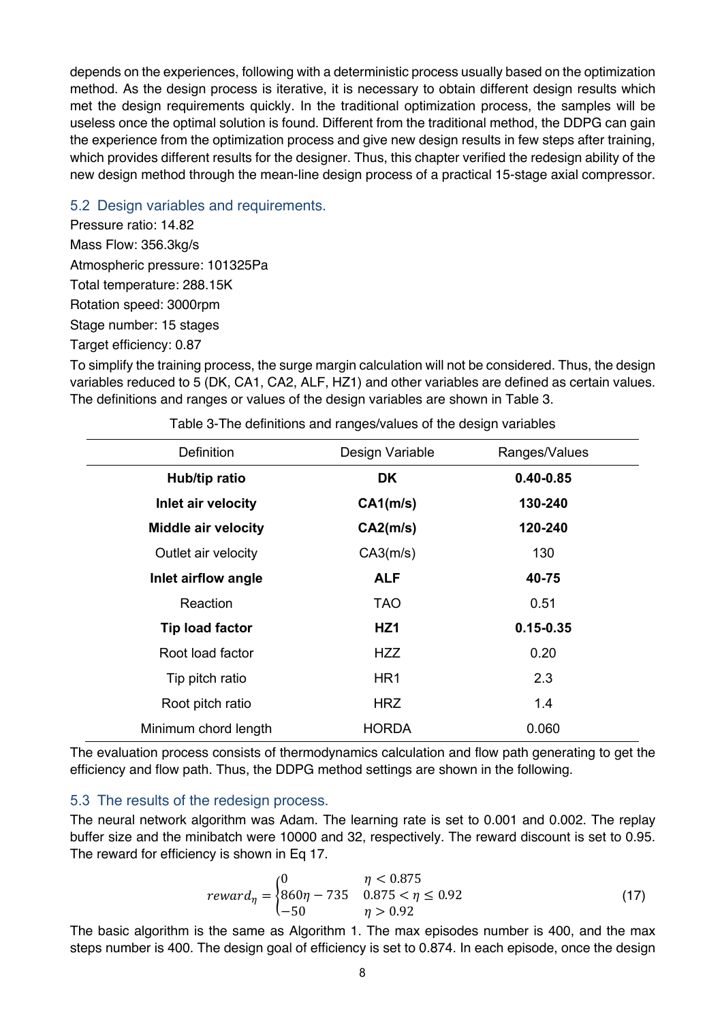depends on the experiences, following with a deterministic process usually based on the optimization method. As the design process is iterative, it is necessary to obtain different design results which met the design requirements quickly. In the traditional optimization process, the samples will be useless once the optimal solution is found. Different from the traditional method, the DDPG can gain the experience from the optimization process and give new design results in few steps after training, which provides different results for the designer. Thus, this chapter verified the redesign ability of the new design method through the mean-line design process of a practical 15-stage axial compressor.

## 5.2 Design variables and requirements.

Pressure ratio: 14.82 Mass Flow: 356.3kg/s Atmospheric pressure: 101325Pa Total temperature: 288.15K Rotation speed: 3000rpm Stage number: 15 stages Target efficiency: 0.87

To simplify the training process, the surge margin calculation will not be considered. Thus, the design variables reduced to 5 (DK, CA1, CA2, ALF, HZ1) and other variables are defined as certain values. The definitions and ranges or values of the design variables are shown in Table 3.

| Definition                 | Design Variable | Ranges/Values |  |
|----------------------------|-----------------|---------------|--|
| Hub/tip ratio              | DK              | $0.40 - 0.85$ |  |
| Inlet air velocity         | CA1(m/s)        | 130-240       |  |
| <b>Middle air velocity</b> | CA2(m/s)        | 120-240       |  |
| Outlet air velocity        | CA3(m/s)        | 130           |  |
| Inlet airflow angle        | <b>ALF</b>      | 40-75         |  |
| Reaction                   | <b>TAO</b>      | 0.51          |  |
| <b>Tip load factor</b>     | HZ <sub>1</sub> | $0.15 - 0.35$ |  |
| Root load factor           | HZZ.            | 0.20          |  |
| Tip pitch ratio            | HR <sub>1</sub> | 2.3           |  |
| Root pitch ratio           | <b>HRZ</b>      | 1.4           |  |
| Minimum chord length       | <b>HORDA</b>    | 0.060         |  |

Table 3-The definitions and ranges/values of the design variables

The evaluation process consists of thermodynamics calculation and flow path generating to get the efficiency and flow path. Thus, the DDPG method settings are shown in the following.

## 5.3 The results of the redesign process.

The neural network algorithm was Adam. The learning rate is set to 0.001 and 0.002. The replay buffer size and the minibatch were 10000 and 32, respectively. The reward discount is set to 0.95. The reward for efficiency is shown in Eq 17.

$$
reward_{\eta} = \begin{cases} 0 & \eta < 0.875 \\ 860\eta - 735 & 0.875 < \eta \le 0.92 \\ -50 & \eta > 0.92 \end{cases}
$$
 (17)

The basic algorithm is the same as Algorithm 1. The max episodes number is 400, and the max steps number is 400. The design goal of efficiency is set to 0.874. In each episode, once the design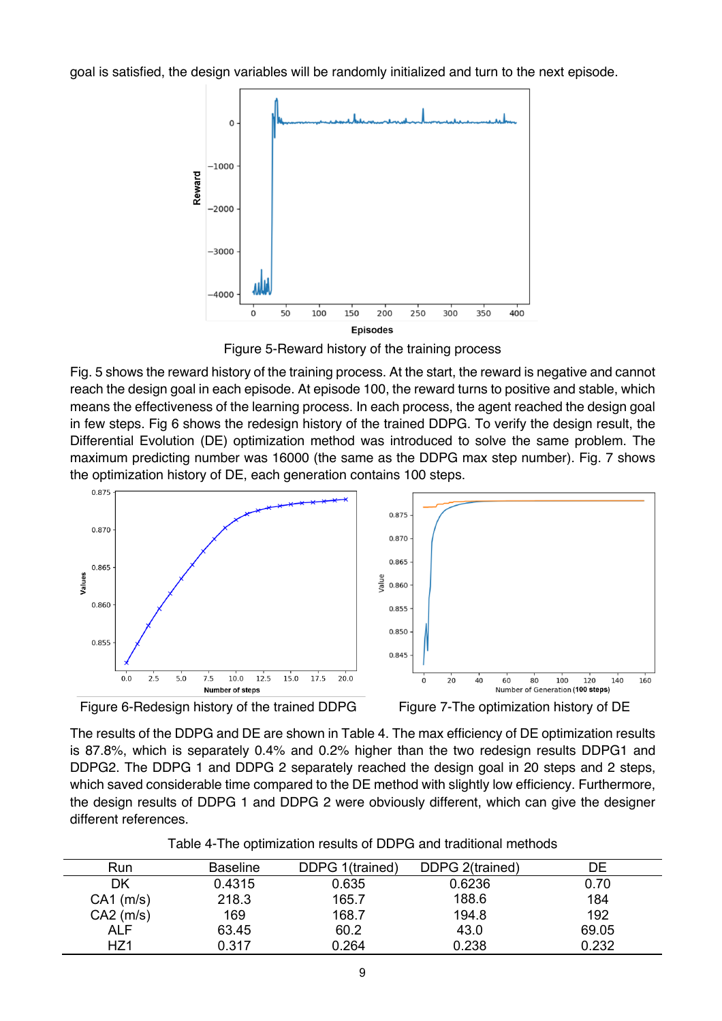goal is satisfied, the design variables will be randomly initialized and turn to the next episode.



Figure 5-Reward history of the training process

Fig. 5 shows the reward history of the training process. At the start, the reward is negative and cannot reach the design goal in each episode. At episode 100, the reward turns to positive and stable, which means the effectiveness of the learning process. In each process, the agent reached the design goal in few steps. Fig 6 shows the redesign history of the trained DDPG. To verify the design result, the Differential Evolution (DE) optimization method was introduced to solve the same problem. The maximum predicting number was 16000 (the same as the DDPG max step number). Fig. 7 shows the optimization history of DE, each generation contains 100 steps.



Figure 6-Redesign history of the trained DDPG Figure 7-The optimization history of DE

The results of the DDPG and DE are shown in Table 4. The max efficiency of DE optimization results is 87.8%, which is separately 0.4% and 0.2% higher than the two redesign results DDPG1 and DDPG2. The DDPG 1 and DDPG 2 separately reached the design goal in 20 steps and 2 steps, which saved considerable time compared to the DE method with slightly low efficiency. Furthermore, the design results of DDPG 1 and DDPG 2 were obviously different, which can give the designer different references.

| Run             | <b>Baseline</b> | DDPG 1(trained) | DDPG 2(trained) | DE    |
|-----------------|-----------------|-----------------|-----------------|-------|
| DK              | 0.4315          | 0.635           | 0.6236          | 0.70  |
| $CA1$ (m/s)     | 218.3           | 165.7           | 188.6           | 184   |
| $CA2$ (m/s)     | 169             | 168.7           | 194.8           | 192   |
| <b>ALF</b>      | 63.45           | 60.2            | 43.0            | 69.05 |
| HZ <sub>1</sub> | 0.317           | 0.264           | 0.238           | 0.232 |

Table 4-The optimization results of DDPG and traditional methods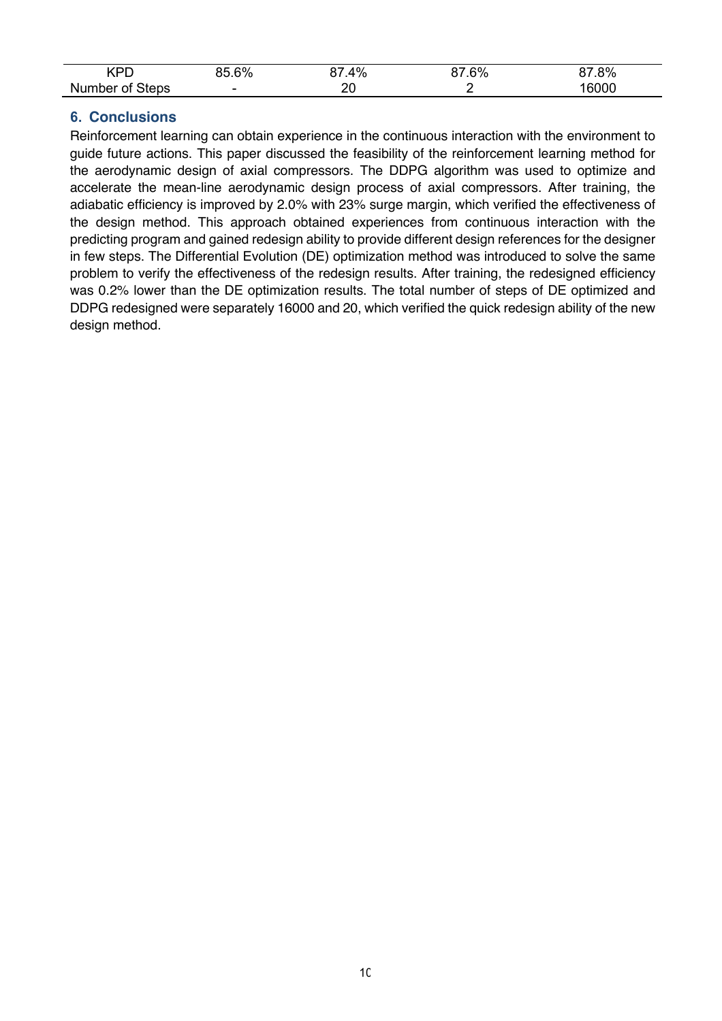| חם׳                | $\Omega$<br>∼ –<br><i></i><br>70<br>,,,,, | 4%                 | 6%<br>. . | 00/<br>70<br>. ت |
|--------------------|-------------------------------------------|--------------------|-----------|------------------|
| Number of<br>Steps | $\overline{\phantom{0}}$                  | nr<br>∠∪<br>$\sim$ |           | 6000             |

# **6. Conclusions**

Reinforcement learning can obtain experience in the continuous interaction with the environment to guide future actions. This paper discussed the feasibility of the reinforcement learning method for the aerodynamic design of axial compressors. The DDPG algorithm was used to optimize and accelerate the mean-line aerodynamic design process of axial compressors. After training, the adiabatic efficiency is improved by 2.0% with 23% surge margin, which verified the effectiveness of the design method. This approach obtained experiences from continuous interaction with the predicting program and gained redesign ability to provide different design references for the designer in few steps. The Differential Evolution (DE) optimization method was introduced to solve the same problem to verify the effectiveness of the redesign results. After training, the redesigned efficiency was 0.2% lower than the DE optimization results. The total number of steps of DE optimized and DDPG redesigned were separately 16000 and 20, which verified the quick redesign ability of the new design method.